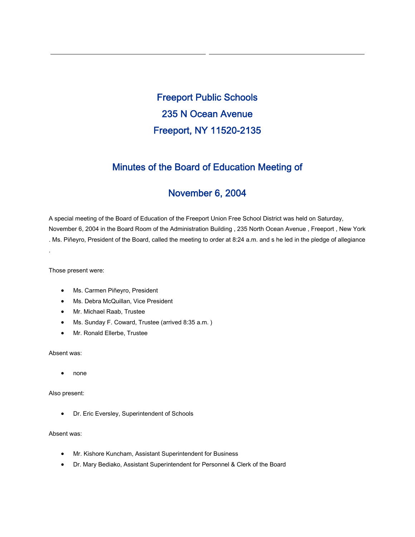Freeport Public Schools 235 N Ocean Avenue Freeport, NY 11520-2135

## Minutes of the Board of Education Meeting of

## November 6, 2004

A special meeting of the Board of Education of the Freeport Union Free School District was held on Saturday, November 6, 2004 in the Board Room of the Administration Building , 235 North Ocean Avenue , Freeport , New York . Ms. Piñeyro, President of the Board, called the meeting to order at 8:24 a.m. and s he led in the pledge of allegiance

Those present were:

.

- Ms. Carmen Piñeyro, President
- Ms. Debra McQuillan, Vice President
- Mr. Michael Raab, Trustee
- Ms. Sunday F. Coward, Trustee (arrived 8:35 a.m. )
- Mr. Ronald Ellerbe, Trustee

Absent was:

• none

Also present:

• Dr. Eric Eversley, Superintendent of Schools

Absent was:

- Mr. Kishore Kuncham, Assistant Superintendent for Business
- Dr. Mary Bediako, Assistant Superintendent for Personnel & Clerk of the Board